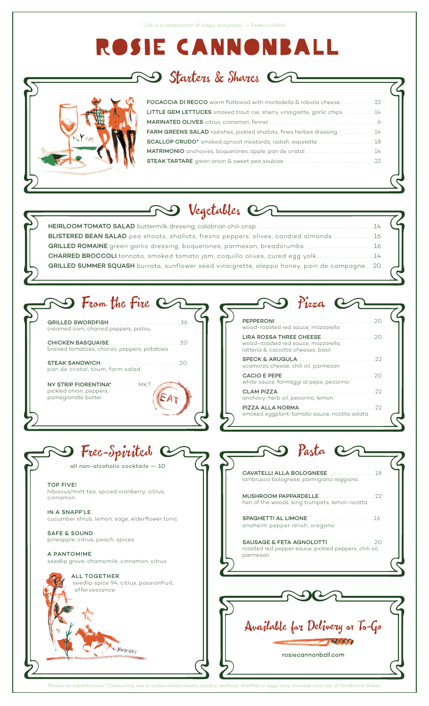# ROSIE CANNON

 $\mathcal S$  Starters & Shares  $\mathcal C$ T



| FOCACCIA DI RECCO warm flatbread with mortadella & robiola cheese 22      |  |
|---------------------------------------------------------------------------|--|
| LITTLE GEM LETTUCES smoked trout roe, sherry vinaigrette, garlic chips 14 |  |
|                                                                           |  |
| FARM GREENS SALAD radishes, pickled shallots, fines herbes dressing 14    |  |
|                                                                           |  |
| MATRIMONIO anchovies, boquerones, apple, pan de cristal14                 |  |
|                                                                           |  |
|                                                                           |  |

# **Negetables Ch**

| BLISTERED BEAN SALAD pea shoots, shallots, fresno peppers, olives, candied almonds 16        |  |
|----------------------------------------------------------------------------------------------|--|
| GRILLED ROMAINE green garlic dressing, boquerones, parmesan, breadcrumbs 16                  |  |
| CHARRED BROCCOLI tonnato, smoked tomato jam, coquillo olives, cured egg yolk14               |  |
| GRILLED SUMMER SQUASH burrata, sunflower seed vinaigrette, aleppo honey, pain de campagne 20 |  |
|                                                                                              |  |

#### From the Fire CD Pizza C Ŋ **PEPPERONI**  $20$ **GRILLED SWORDFISH** 36 wood-roasted red sauce, mozzarella creamed corn, charred peppers, pistou LIRA ROSSA THREE CHEESE.  $.20$  $\ldots$  30 **CHICKEN BASQUAISE**. wood-roasted red sauce, mozzarella, braised tomatoes, chorizo, peppers, potatoes latteria & caciotta cheeses, basil  $\ldots$  22 SPECK & ARUGULA **STEAK SANDWICH...** . . . . . . . . . . 20 scamorza cheese, chili oil, parmesan pan de cristal, toum, farm salad CACIO E PEPE. .20 white sauce, formaggi al pepe, pecorino NY STRIP FIORENTINA\* . . . . . . . . MKT pickled onion, peppers,<br>pomegranate butter **CLAM PIZZA** . . . . . . 22 EAT anchovy-herb oil, pecorino, lemon PIZZA ALLA NORMA.  $\therefore$  22 smoked eggplant-tomato sauce, ricotta salata Free-Spirited Cr Pasta C all non-alcoholic cocktails  $-10$ CAVATELLI ALLA BOLOGNESE  $\ldots$ . 18 lambrusco bolognese, parmigiano reggiano **TOP FIVE!** hibiscus/mint tea, spiced cranberry, citrus, MUSHROOM PAPPARDELLE . .  $\ldots$  22 cinnamon hen of the woods, king trumpets, lemon ricotta IN A SNAPP'LE SPAGHETTI AL LIMONE . . . . . . . . . . . . cucumber shrub, lemon, sage, elderflower tonic  $\ldots \ldots 16$ anaheim pepper relish, oregano **SAFE & SOUND** pineapple, citrus, peach, spices **SAUSAGE & FETA AGNOLOTTI.** .20 roasted red pepper sauce, pickled peppers, chili oil, A PANTOMIME parmesan seedlip grove, chamomile, cinnamon, citrus ALL TOGETHER seedlip spice 94, citrus, passionfruit, effervescence

ed meats, poultry, seafood, shellfish or eggs may increase your risk of foodborne illne Please, no substitutions. \*Consuming raw or u

-HUNGRY

Available for Delivery or To-Go

rosiecannonball.com

XXXY